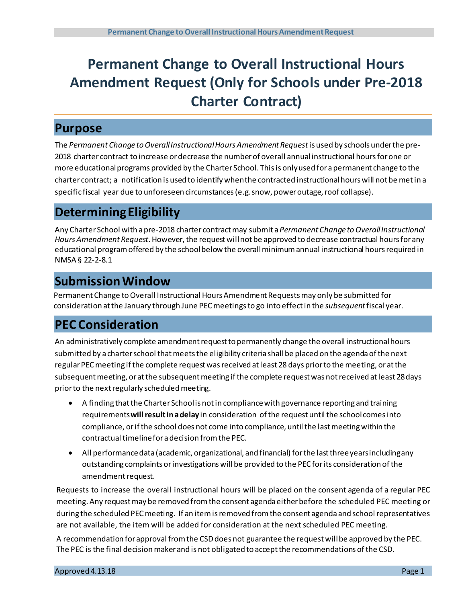# **Permanent Change to Overall Instructional Hours Amendment Request (Only for Schools under Pre-2018 Charter Contract)**

### **Purpose**

The *Permanent Change to Overall Instructional Hours Amendment Request*is used by schools under the pre-2018 charter contract to increase or decrease the numberof overall annualinstructional hours for one or more educational programs provided by the Charter School. Thisis only used for a permanent change to the charter contract; a notification is used to identify when the contracted instructionalhours will not be metin a specific fiscal year due to unforeseen circumstances (e.g. snow, power outage, roof collapse).

# **DeterminingEligibility**

Any Charter School with a pre-2018 charter contractmay submit a*Permanent Change to Overall Instructional*  Hours Amendment Request. However, the request will not be approved to decrease contractual hours for any educational program offered by the school below the overall minimum annual instructional hours required in NMSA § 22-2-8.1

# **Submission Window**

Permanent Change to Overall Instructional Hours Amendment Requests may only be submitted for consideration at the January through June PEC meetings to go into effect in the *subsequent*fiscal year.

### **PEC Consideration**

An administratively complete amendment request to permanently change the overall instructional hours submitted by a charter school that meets the eligibility criteria shall be placed on the agenda of the next regular PEC meeting if the complete request was received at least 28 days prior to the meeting, or at the subsequent meeting, or at the subsequent meeting if the complete requestwas not received at least 28 days prior to the next regularly scheduled meeting.

- A finding that the Charter School is not in compliance with governance reporting and training requirements **will resultin a delay** in consideration of the request until the school comes into compliance, orif the school does not come into compliance, until the last meeting within the contractual timeline for a decision from the PEC.
- All performancedata (academic, organizational, and financial) for the last three years including any outstanding complaints or investigations will be provided to the PEC forits consideration of the amendmentrequest.

Requests to increase the overall instructional hours will be placed on the consent agenda of a regular PEC meeting. Any request may be removed from the consent agenda either before the scheduled PEC meeting or during the scheduled PEC meeting. If an item is removed from the consent agenda and school representatives are not available, the item will be added for consideration at the next scheduled PEC meeting.

A recommendation for approval from the CSD does not guarantee the request will be approved by the PEC. The PEC is the final decision maker and is not obligated to accept the recommendations of the CSD.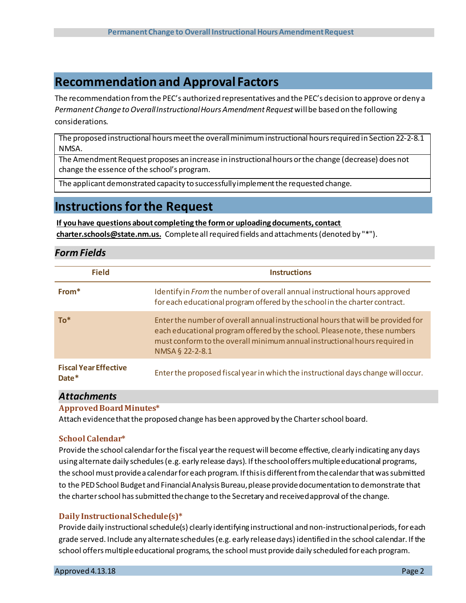### **Recommendation and Approval Factors**

The recommendation from the PEC's authorized representatives and the PEC's decision to approve or deny a *Permanent Change to Overall Instructional Hours Amendment Request*will be based on the following considerations.

The proposed instructional hours meet the overall minimum instructional hours required in Section 22-2-8.1 NMSA.

The Amendment Request proposes an increase in instructional hours or the change (decrease) does not change the essence of the school's program.

The applicant demonstrated capacity to successfully implement the requested change.

### **Instructions for the Request**

#### **If you have questions about completing the formor uploading documents, contact**

**charter.schools@state.nm.us.** Complete allrequired fields and attachments(denoted by "\*").

### *Form Fields*

| <b>Field</b>                          | <b>Instructions</b>                                                                                                                                                                                                                                             |
|---------------------------------------|-----------------------------------------------------------------------------------------------------------------------------------------------------------------------------------------------------------------------------------------------------------------|
| From*                                 | Identify in From the number of overall annual instructional hours approved<br>for each educational program offered by the school in the charter contract.                                                                                                       |
| $To^*$                                | Enter the number of overall annual instructional hours that will be provided for<br>each educational program offered by the school. Please note, these numbers<br>must conform to the overall minimum annual instructional hours required in<br>NMSA § 22-2-8.1 |
| <b>Fiscal Year Effective</b><br>Date* | Enter the proposed fiscal year in which the instructional days change will occur.                                                                                                                                                                               |

### *Attachments*

### **Approved BoardMinutes\***

Attach evidencethatthe proposed change has been approved by the Charter school board.

### **School Calendar\***

Provide the school calendarforthe fiscal year the requestwill become effective, clearly indicating any days using alternate daily schedules (e.g. early release days). If the school offers multiple educational programs, the school must provide a calendar for each program. If this is different from the calendar that was submitted to the PED School Budget and Financial Analysis Bureau, please provide documentation to demonstrate that the charter school has submitted the change to the Secretary and received approval of the change.

### **Daily InstructionalSchedule(s)\***

Provide daily instructional schedule(s) clearly identifying instructional and non-instructional periods, for each grade served. Include any alternateschedules(e.g. early releasedays) identified in the school calendar. If the school offers multiple educational programs, the school must provide daily scheduled for each program.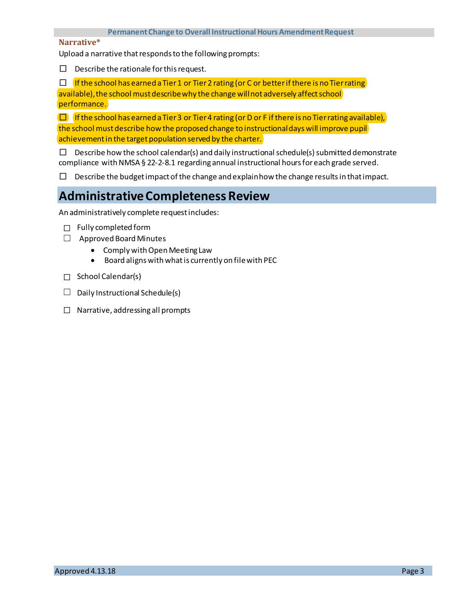#### **Permanent Change to Overall Instructional Hours Amendment Request**

#### **Narrative\***

Upload a narrative that responds to the following prompts:

 $\Box$  Describe the rationale for this request.

 $\square$  If the school has earned a Tier 1 or Tier 2 rating (or C or better if there is no Tier rating) available), the school must describe why the change will not adversely affect school performance.

 $\Box$  If the school has earned a Tier 3 or Tier 4 rating (or D or F if there is no Tier rating available), the school must describe how the proposed change to instructionaldayswill improve pupil achievement in the target population served by the charter.

 $\square$  Describe how the school calendar(s) and daily instructional schedule(s) submitted demonstrate compliance with NMSA § 22-2-8.1 regarding annual instructional hours for each grade served.

 $\Box$  Describe the budget impact of the change and explain how the change results in that impact.

# **AdministrativeCompleteness Review**

An administratively complete requestincludes:

- ☐ Fully completed form
- $\Box$  Approved Board Minutes
	- Comply with Open Meeting Law
	- Board alignswith whatis currently on filewith PEC
- □ School Calendar(s)
- $\Box$  Daily Instructional Schedule(s)
- ☐ Narrative, addressing all prompts